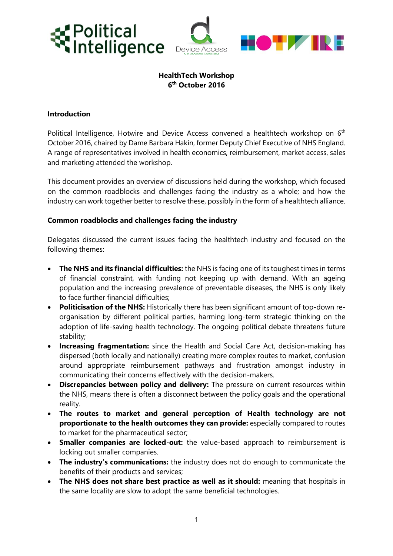



# **HealthTech Workshop 6 th October 2016**

## **Introduction**

Political Intelligence, Hotwire and Device Access convened a healthtech workshop on 6<sup>th</sup> October 2016, chaired by Dame Barbara Hakin, former Deputy Chief Executive of NHS England. A range of representatives involved in health economics, reimbursement, market access, sales and marketing attended the workshop.

This document provides an overview of discussions held during the workshop, which focused on the common roadblocks and challenges facing the industry as a whole; and how the industry can work together better to resolve these, possibly in the form of a healthtech alliance.

## **Common roadblocks and challenges facing the industry**

Delegates discussed the current issues facing the healthtech industry and focused on the following themes:

- **The NHS and its financial difficulties:** the NHS is facing one of its toughest times in terms of financial constraint, with funding not keeping up with demand. With an ageing population and the increasing prevalence of preventable diseases, the NHS is only likely to face further financial difficulties;
- **Politicisation of the NHS:** Historically there has been significant amount of top-down reorganisation by different political parties, harming long-term strategic thinking on the adoption of life-saving health technology. The ongoing political debate threatens future stability;
- **Increasing fragmentation:** since the Health and Social Care Act, decision-making has dispersed (both locally and nationally) creating more complex routes to market, confusion around appropriate reimbursement pathways and frustration amongst industry in communicating their concerns effectively with the decision-makers.
- **Discrepancies between policy and delivery:** The pressure on current resources within the NHS, means there is often a disconnect between the policy goals and the operational reality.
- **The routes to market and general perception of Health technology are not proportionate to the health outcomes they can provide:** especially compared to routes to market for the pharmaceutical sector;
- **Smaller companies are locked-out:** the value-based approach to reimbursement is locking out smaller companies.
- **The industry's communications:** the industry does not do enough to communicate the benefits of their products and services;
- **The NHS does not share best practice as well as it should:** meaning that hospitals in the same locality are slow to adopt the same beneficial technologies.